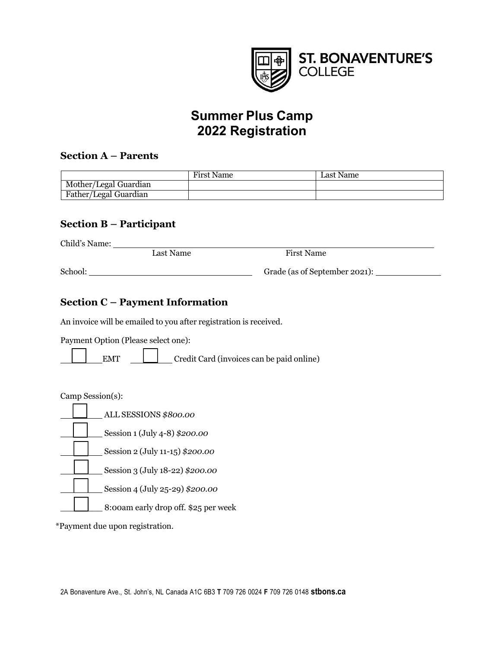

## **Summer Plus Camp 2022 Registration**

#### **Section A – Parents**

|                       | <b>First Name</b> | Last Name |
|-----------------------|-------------------|-----------|
| Mother/Legal Guardian |                   |           |
| Father/Legal Guardian |                   |           |

#### **Section B – Participant**

Child's Name:

Last Name First Name School: Grade (as of September 2021):

## **Section C – Payment Information**

An invoice will be emailed to you after registration is received.

Payment Option (Please select one):

EMT Credit Card (invoices can be paid online)

Camp Session(s):



\*Payment due upon registration.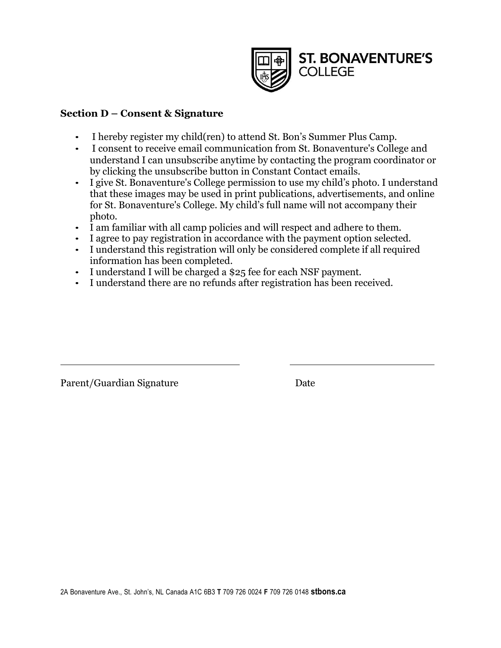

### **Section D – Consent & Signature**

- I hereby register my child(ren) to attend St. Bon's Summer Plus Camp.
- I consent to receive email communication from St. Bonaventure's College and understand I can unsubscribe anytime by contacting the program coordinator or by clicking the unsubscribe button in Constant Contact emails.
- I give St. Bonaventure's College permission to use my child's photo. I understand that these images may be used in print publications, advertisements, and online for St. Bonaventure's College. My child's full name will not accompany their photo.
- I am familiar with all camp policies and will respect and adhere to them.
- I agree to pay registration in accordance with the payment option selected.
- I understand this registration will only be considered complete if all required information has been completed.
- I understand I will be charged a \$25 fee for each NSF payment.
- I understand there are no refunds after registration has been received.

Parent/Guardian Signature Date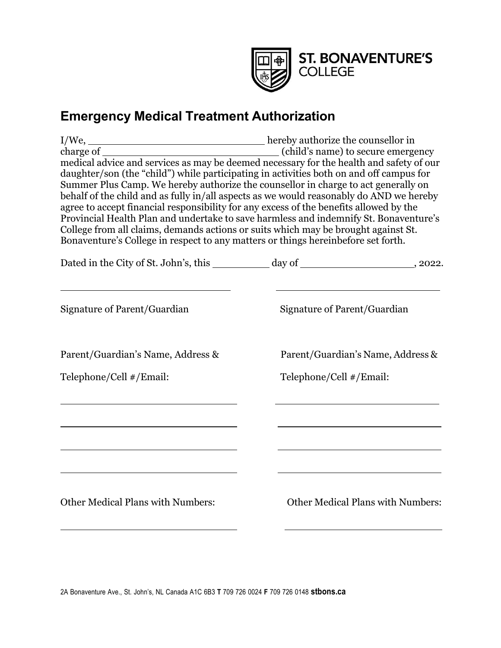

# **Emergency Medical Treatment Authorization**

| I/We, hereby authorize the counsellor in                                                |  |  |  |  |
|-----------------------------------------------------------------------------------------|--|--|--|--|
| (child's name) to secure emergency                                                      |  |  |  |  |
| medical advice and services as may be deemed necessary for the health and safety of our |  |  |  |  |
| daughter/son (the "child") while participating in activities both on and off campus for |  |  |  |  |
| Summer Plus Camp. We hereby authorize the counsellor in charge to act generally on      |  |  |  |  |
| behalf of the child and as fully in/all aspects as we would reasonably do AND we hereby |  |  |  |  |
| agree to accept financial responsibility for any excess of the benefits allowed by the  |  |  |  |  |
| Provincial Health Plan and undertake to save harmless and indemnify St. Bonaventure's   |  |  |  |  |
| College from all claims, demands actions or suits which may be brought against St.      |  |  |  |  |
| Bonaventure's College in respect to any matters or things hereinbefore set forth.       |  |  |  |  |
| Dated in the City of St. John's, this __________ day of ______________________, 2022.   |  |  |  |  |
|                                                                                         |  |  |  |  |
| Signature of Parent/Guardian                                                            |  |  |  |  |
| Parent/Guardian's Name, Address &                                                       |  |  |  |  |
| Telephone/Cell #/Email:                                                                 |  |  |  |  |
|                                                                                         |  |  |  |  |
| <b>Other Medical Plans with Numbers:</b>                                                |  |  |  |  |
|                                                                                         |  |  |  |  |

2A Bonaventure Ave., St. John's, NL Canada A1C 6B3 **T** 709 726 0024 **F** 709 726 0148 **stbons.ca**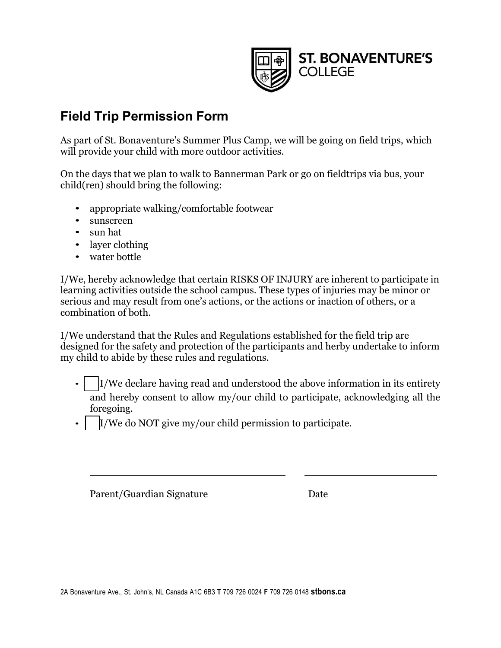

# **Field Trip Permission Form**

As part of St. Bonaventure's Summer Plus Camp, we will be going on field trips, which will provide your child with more outdoor activities.

On the days that we plan to walk to Bannerman Park or go on fieldtrips via bus, your child(ren) should bring the following:

- appropriate walking/comfortable footwear
- sunscreen
- sun hat
- layer clothing
- water bottle

I/We, hereby acknowledge that certain RISKS OF INJURY are inherent to participate in learning activities outside the school campus. These types of injuries may be minor or serious and may result from one's actions, or the actions or inaction of others, or a combination of both.

I/We understand that the Rules and Regulations established for the field trip are designed for the safety and protection of the participants and herby undertake to inform my child to abide by these rules and regulations.

- I/We declare having read and understood the above information in its entirety and hereby consent to allow my/our child to participate, acknowledging all the foregoing.
- ! I/We do NOT give my/our child permission to participate.

Parent/Guardian Signature Date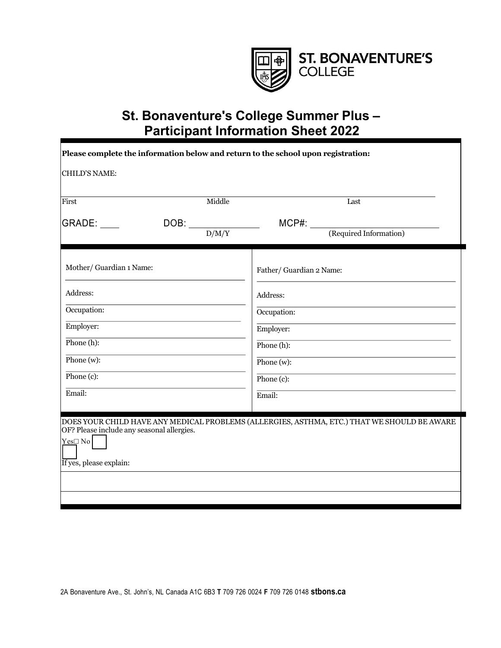

## **St. Bonaventure's College Summer Plus – Participant Information Sheet 2022**

| Please complete the information below and return to the school upon registration:      |                                                                                             |  |  |  |
|----------------------------------------------------------------------------------------|---------------------------------------------------------------------------------------------|--|--|--|
| <b>CHILD'S NAME:</b>                                                                   |                                                                                             |  |  |  |
| Middle<br>First                                                                        | Last                                                                                        |  |  |  |
| GRADE: ____<br>DOB:<br>D/M/Y                                                           | (Required Information)                                                                      |  |  |  |
| Mother/Guardian 1 Name:                                                                | Father/ Guardian 2 Name:                                                                    |  |  |  |
| Address:                                                                               | Address:                                                                                    |  |  |  |
| Occupation:                                                                            | Occupation:                                                                                 |  |  |  |
| Employer:                                                                              | Employer:                                                                                   |  |  |  |
| Phone(h):                                                                              | Phone $(h)$ :                                                                               |  |  |  |
| $Phone(w)$ :                                                                           | Phone $(w)$ :                                                                               |  |  |  |
| Phone $(c)$ :                                                                          | Phone $(c)$ :                                                                               |  |  |  |
| Email:                                                                                 | Email:                                                                                      |  |  |  |
| OF? Please include any seasonal allergies.<br>$Yes \Box No$<br>If yes, please explain: | DOES YOUR CHILD HAVE ANY MEDICAL PROBLEMS (ALLERGIES, ASTHMA, ETC.) THAT WE SHOULD BE AWARE |  |  |  |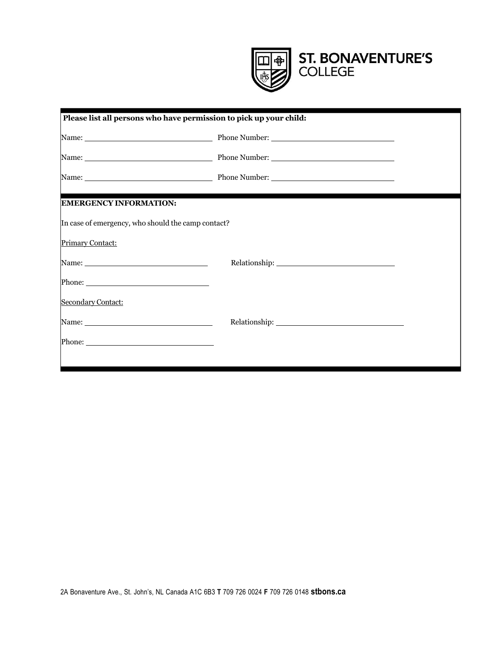

| Please list all persons who have permission to pick up your child: |                                                                                                                                                                                                                               |  |
|--------------------------------------------------------------------|-------------------------------------------------------------------------------------------------------------------------------------------------------------------------------------------------------------------------------|--|
|                                                                    |                                                                                                                                                                                                                               |  |
|                                                                    | Name: Name: Name: Name: Name: Name: Name: Name: Name: Name: Name: Name: Name: Name: Name: Name: Name: Name: Name: Name: Name: Name: Name: Name: Name: Name: Name: Name: Name: Name: Name: Name: Name: Name: Name: Name: Name: |  |
|                                                                    |                                                                                                                                                                                                                               |  |
| <b>EMERGENCY INFORMATION:</b>                                      |                                                                                                                                                                                                                               |  |
| In case of emergency, who should the camp contact?                 |                                                                                                                                                                                                                               |  |
| <b>Primary Contact:</b>                                            |                                                                                                                                                                                                                               |  |
|                                                                    |                                                                                                                                                                                                                               |  |
|                                                                    |                                                                                                                                                                                                                               |  |
| <b>Secondary Contact:</b>                                          |                                                                                                                                                                                                                               |  |
| Name: $\frac{1}{2}$                                                |                                                                                                                                                                                                                               |  |
|                                                                    |                                                                                                                                                                                                                               |  |
|                                                                    |                                                                                                                                                                                                                               |  |